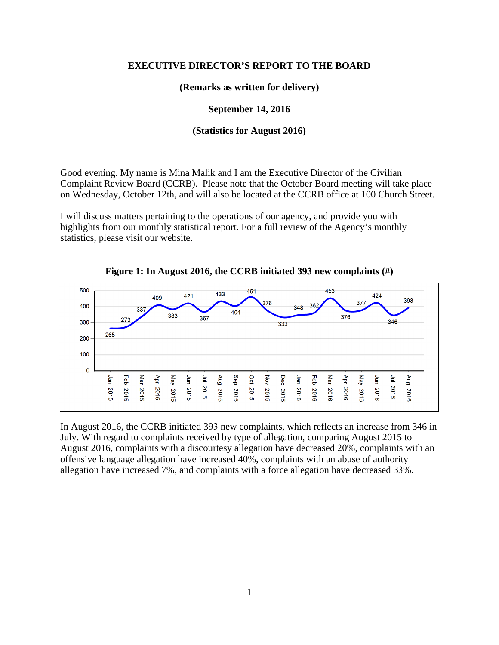## **EXECUTIVE DIRECTOR'S REPORT TO THE BOARD**

**(Remarks as written for delivery)**

**September 14, 2016**

## **(Statistics for August 2016)**

Good evening. My name is Mina Malik and I am the Executive Director of the Civilian Complaint Review Board (CCRB). Please note that the October Board meeting will take place on Wednesday, October 12th, and will also be located at the CCRB office at 100 Church Street.

I will discuss matters pertaining to the operations of our agency, and provide you with highlights from our monthly statistical report. For a full review of the Agency's monthly statistics, please visit our website.



**Figure 1: In August 2016, the CCRB initiated 393 new complaints (#)**

In August 2016, the CCRB initiated 393 new complaints, which reflects an increase from 346 in July. With regard to complaints received by type of allegation, comparing August 2015 to August 2016, complaints with a discourtesy allegation have decreased 20%, complaints with an offensive language allegation have increased 40%, complaints with an abuse of authority allegation have increased 7%, and complaints with a force allegation have decreased 33%.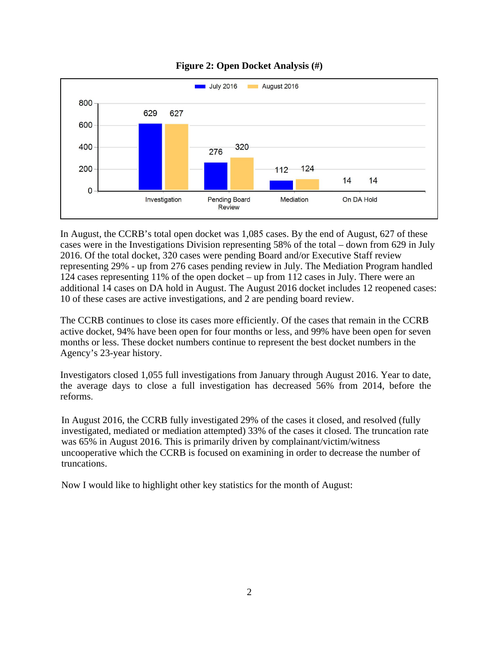

## **Figure 2: Open Docket Analysis (#)**

In August, the CCRB's total open docket was 1,085 cases. By the end of August, 627 of these cases were in the Investigations Division representing 58% of the total – down from 629 in July 2016. Of the total docket, 320 cases were pending Board and/or Executive Staff review representing 29% - up from 276 cases pending review in July. The Mediation Program handled 124 cases representing 11% of the open docket – up from 112 cases in July. There were an additional 14 cases on DA hold in August. The August 2016 docket includes 12 reopened cases: 10 of these cases are active investigations, and 2 are pending board review.

The CCRB continues to close its cases more efficiently. Of the cases that remain in the CCRB active docket, 94% have been open for four months or less, and 99% have been open for seven months or less. These docket numbers continue to represent the best docket numbers in the Agency's 23-year history.

Investigators closed 1,055 full investigations from January through August 2016. Year to date, the average days to close a full investigation has decreased 56% from 2014, before the reforms.

In August 2016, the CCRB fully investigated 29% of the cases it closed, and resolved (fully investigated, mediated or mediation attempted) 33% of the cases it closed. The truncation rate was 65% in August 2016. This is primarily driven by complainant/victim/witness uncooperative which the CCRB is focused on examining in order to decrease the number of truncations.

Now I would like to highlight other key statistics for the month of August: